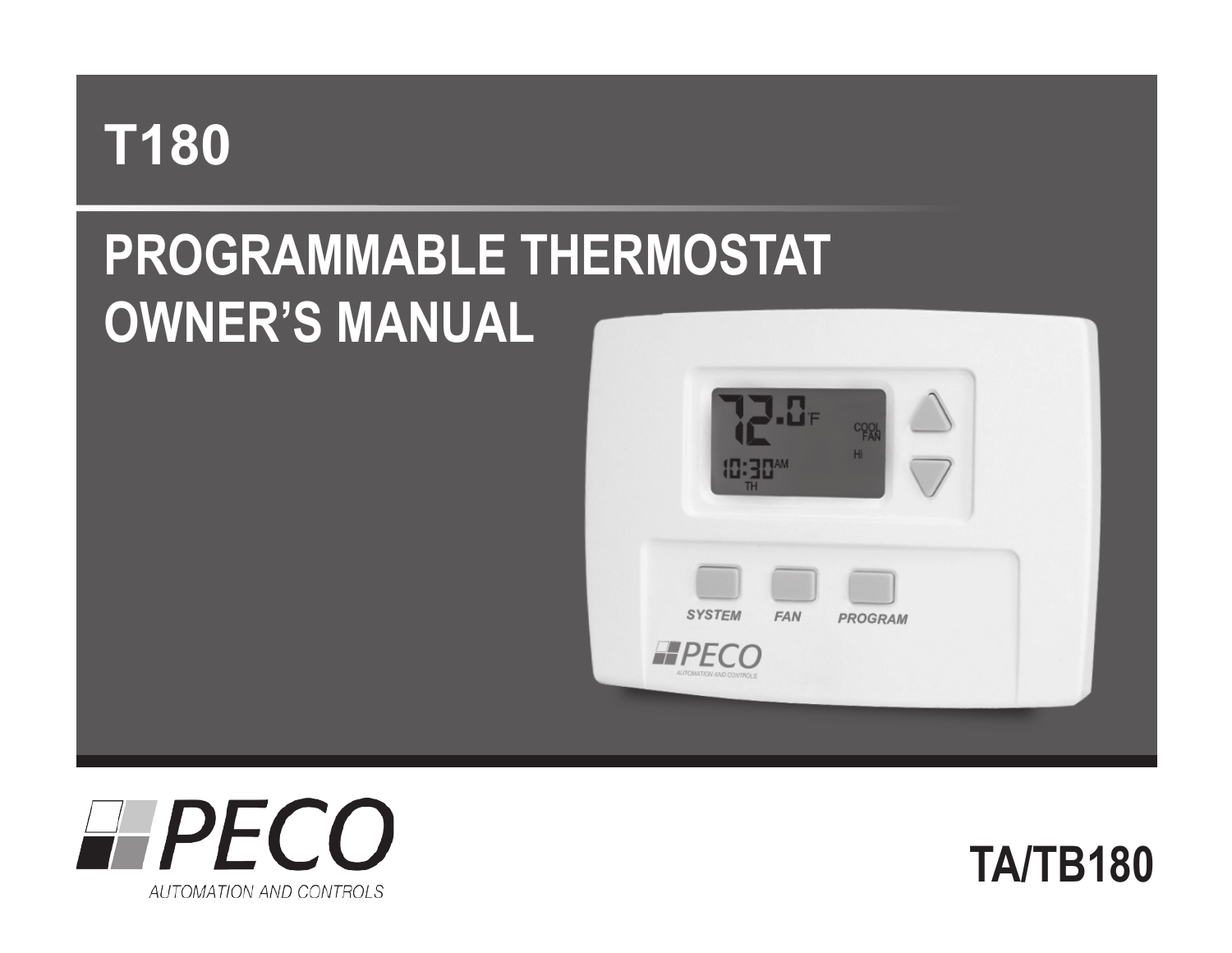# **T180**

# **Programmable Thermostat Owner's Manual**





**TA/TB180**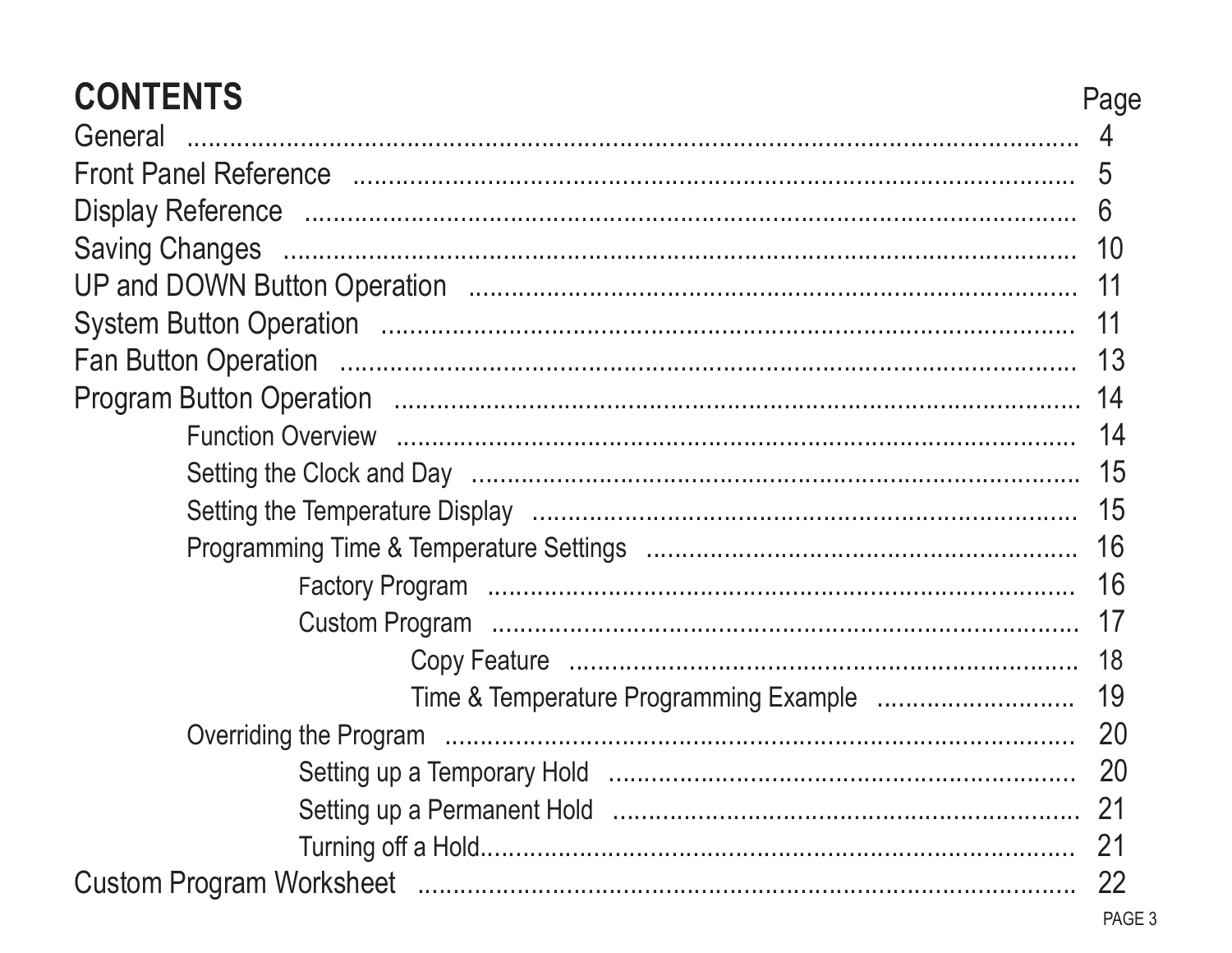| <b>CONTENTS</b><br>General                                                                                     | Page |  |  |
|----------------------------------------------------------------------------------------------------------------|------|--|--|
| Front Panel Reference manufactured and the state of the state of the state of the state of the state of the st |      |  |  |
|                                                                                                                | 6    |  |  |
|                                                                                                                |      |  |  |
|                                                                                                                |      |  |  |
|                                                                                                                |      |  |  |
|                                                                                                                |      |  |  |
|                                                                                                                |      |  |  |
|                                                                                                                |      |  |  |
|                                                                                                                |      |  |  |
|                                                                                                                |      |  |  |
|                                                                                                                |      |  |  |
|                                                                                                                |      |  |  |
|                                                                                                                |      |  |  |
|                                                                                                                |      |  |  |
|                                                                                                                |      |  |  |
|                                                                                                                |      |  |  |
|                                                                                                                |      |  |  |
|                                                                                                                |      |  |  |
|                                                                                                                |      |  |  |
|                                                                                                                |      |  |  |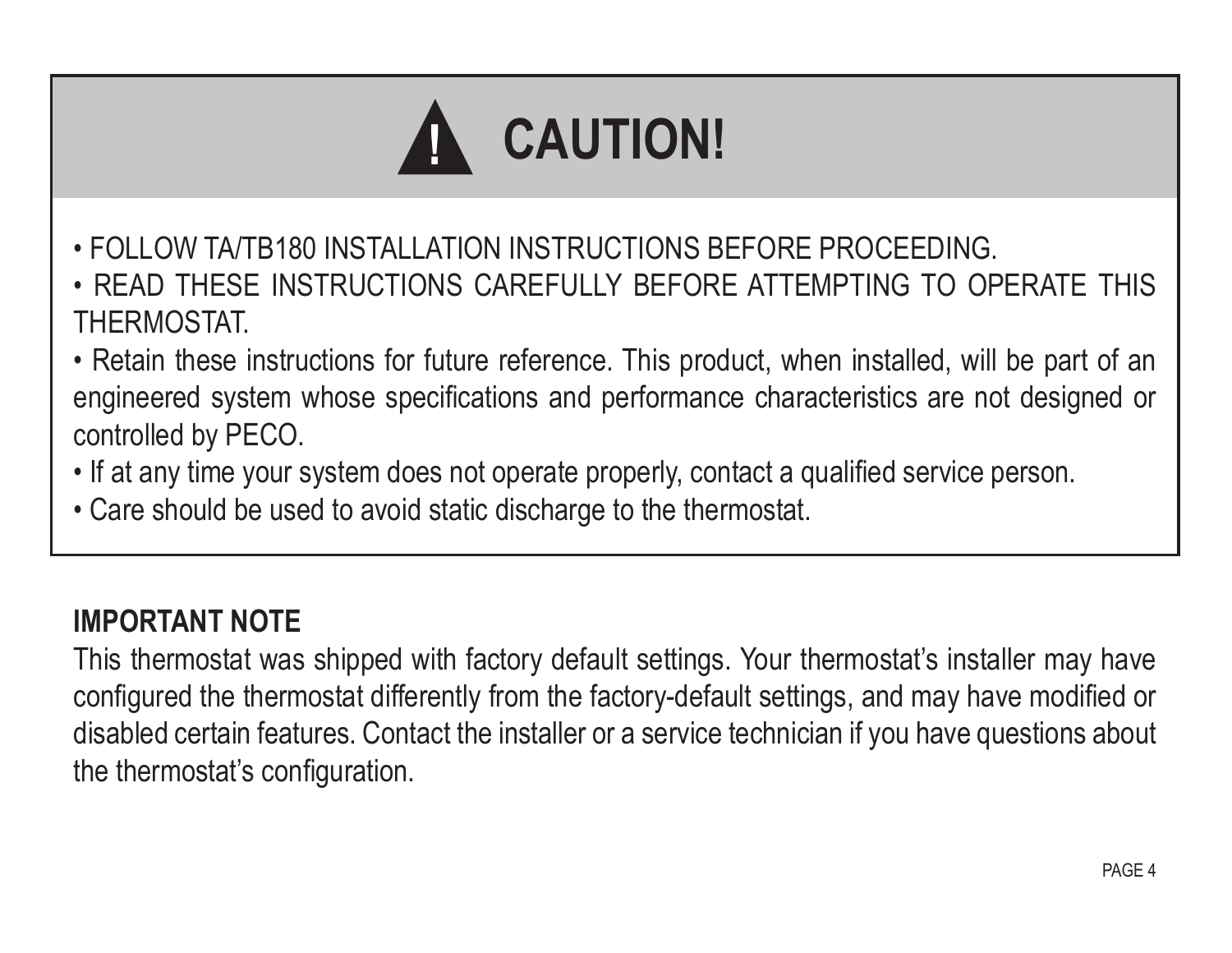# **CAUTION! !**

- FOLLOW TA/TB180 INSTALLATION INSTRUCTIONS BEFORE PROCEEDING.
- READ THESE INSTRUCTIONS CAREFULLY BEFORE ATTEMPTING TO OPERATE THIS **THERMOSTAT**
- Retain these instructions for future reference. This product, when installed, will be part of an engineered system whose specifications and performance characteristics are not designed or controlled by PECO.
- If at any time your system does not operate properly, contact a qualified service person.
- Care should be used to avoid static discharge to the thermostat.

#### **IMPORTANT NOTE**

This thermostat was shipped with factory default settings. Your thermostat's installer may have configured the thermostat differently from the factory-default settings, and may have modified or disabled certain features. Contact the installer or a service technician if you have questions about the thermostat's configuration.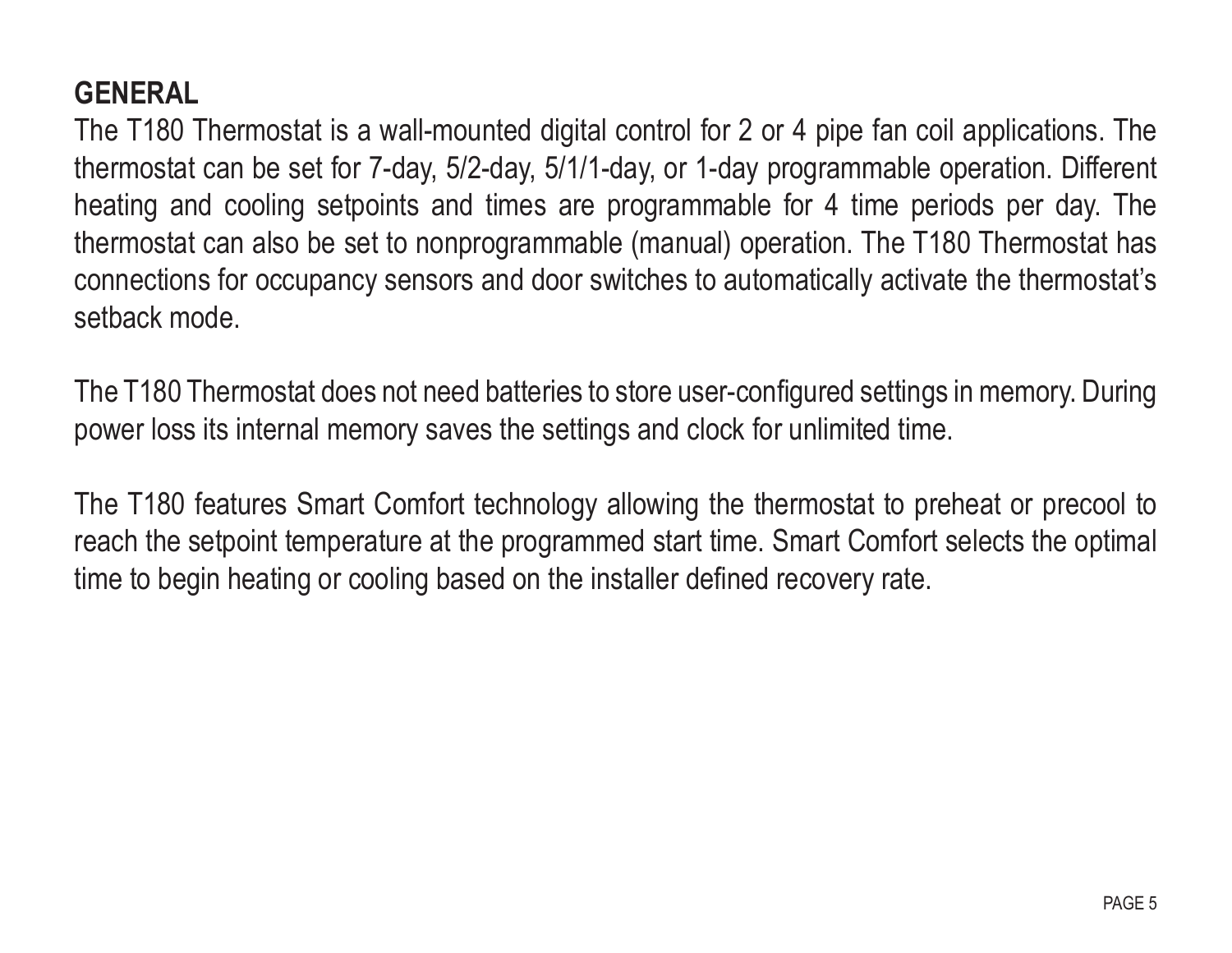#### **GENERAL**

The T180 Thermostat is a wall-mounted digital control for 2 or 4 pipe fan coil applications. The thermostat can be set for 7-day, 5/2-day, 5/1/1-day, or 1-day programmable operation. Different heating and cooling setpoints and times are programmable for 4 time periods per day. The thermostat can also be set to nonprogrammable (manual) operation. The T180 Thermostat has connections for occupancy sensors and door switches to automatically activate the thermostat's setback mode.

The T180 Thermostat does not need batteries to store user-configured settings in memory. During power loss its internal memory saves the settings and clock for unlimited time.

The T180 features Smart Comfort technology allowing the thermostat to preheat or precool to reach the setpoint temperature at the programmed start time. Smart Comfort selects the optimal time to begin heating or cooling based on the installer defined recovery rate.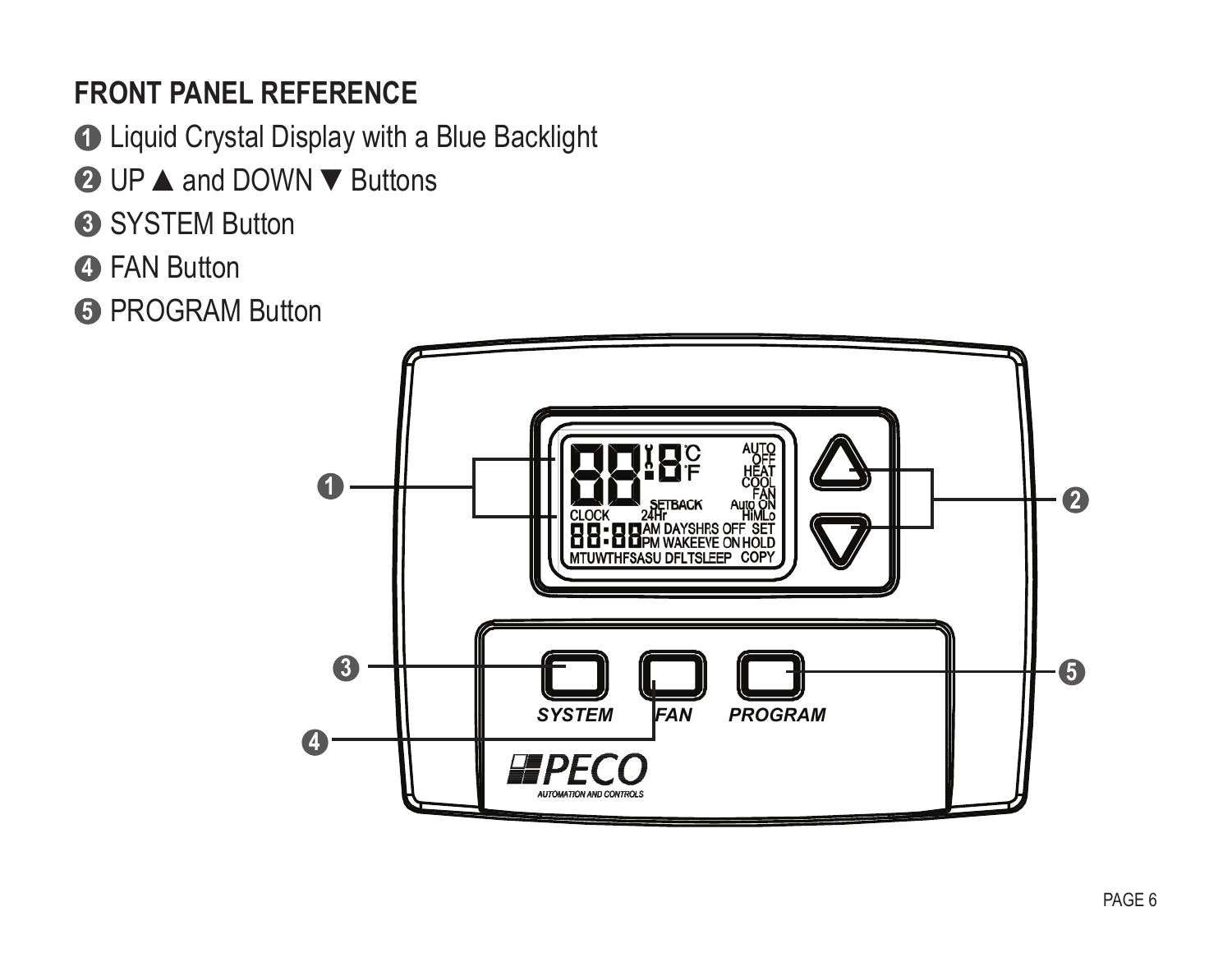#### **Front panel Reference**

Liquid Crystal Display with a Blue Backlight **1**

- UP **▲**and DOWN **▼**Buttons **2**
- SYSTEM Button **3**
- FAN Button **4**

PROGRAM Button **5**

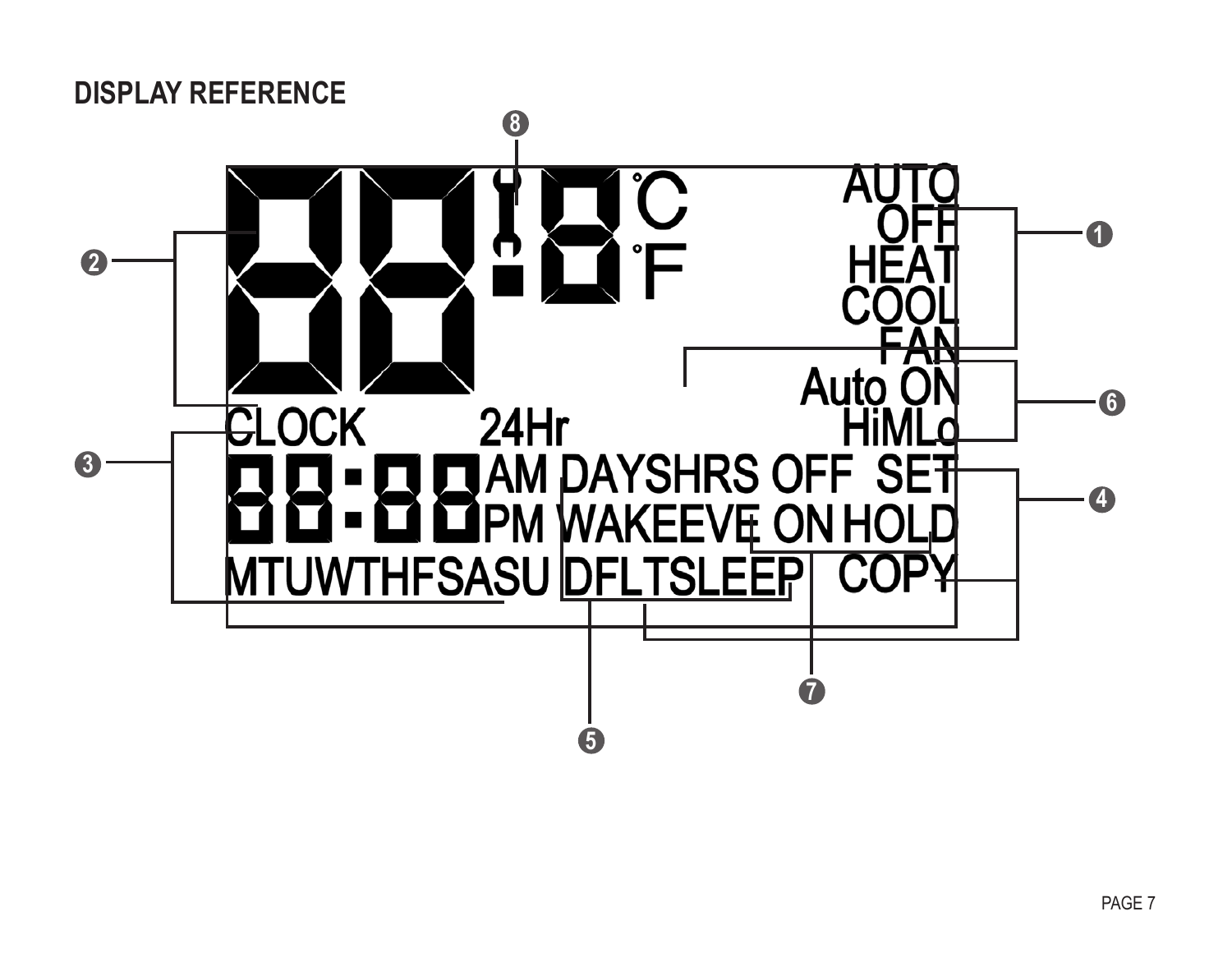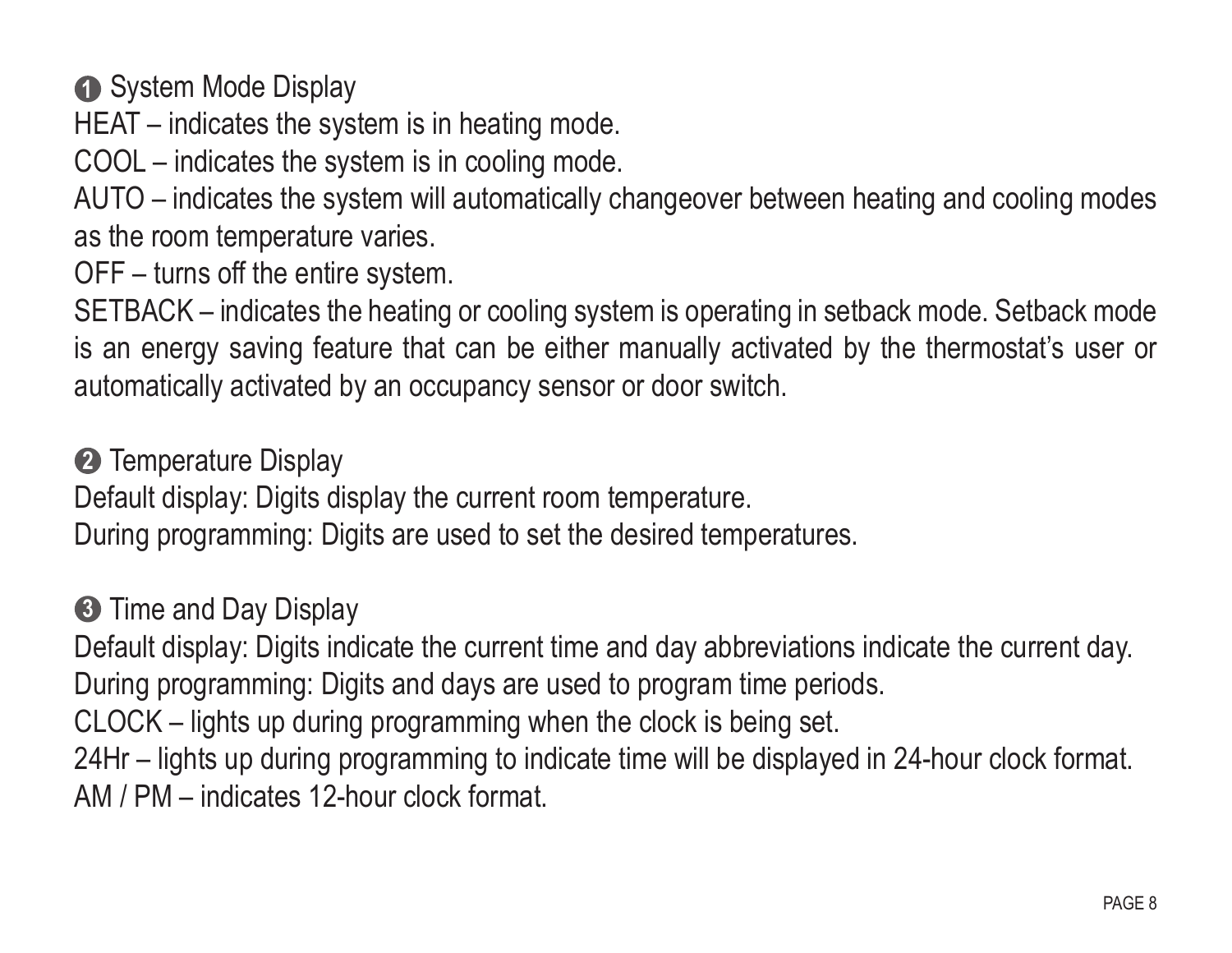**1** System Mode Display

HEAT – indicates the system is in heating mode.

COOL – indicates the system is in cooling mode.

AUTO – indicates the system will automatically changeover between heating and cooling modes as the room temperature varies.

OFF – turns off the entire system.

SETBACK – indicates the heating or cooling system is operating in setback mode. Setback mode is an energy saving feature that can be either manually activated by the thermostat's user or automatically activated by an occupancy sensor or door switch.

Temperature Display **2**

Default display: Digits display the current room temperature.

During programming: Digits are used to set the desired temperatures.

#### Time and Day Display **3**

Default display: Digits indicate the current time and day abbreviations indicate the current day. During programming: Digits and days are used to program time periods.

CLOCK – lights up during programming when the clock is being set.

24Hr – lights up during programming to indicate time will be displayed in 24-hour clock format. AM / PM – indicates 12-hour clock format.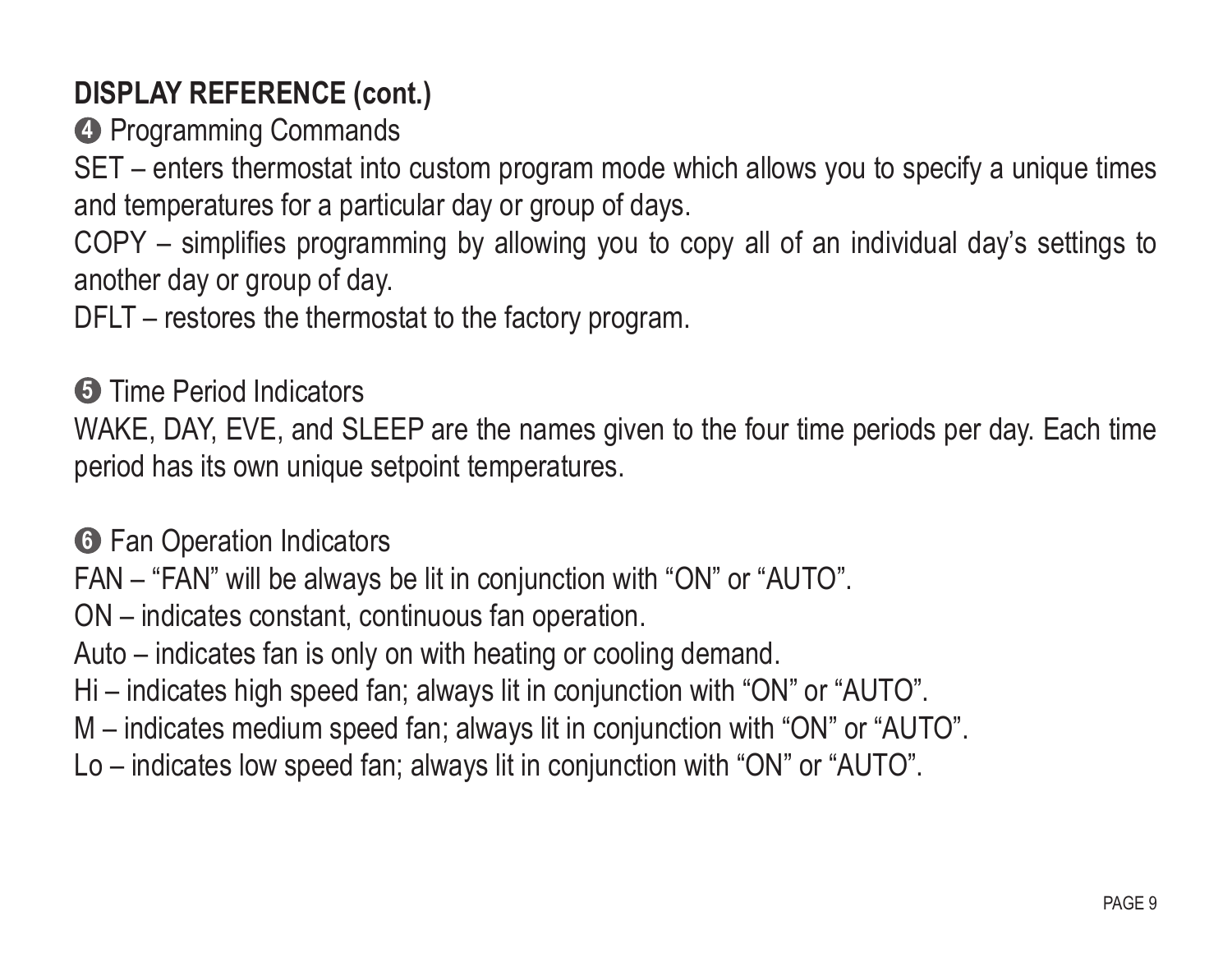#### **DISPLAY REFERENCE (cont.)**

**4** Programming Commands

SET – enters thermostat into custom program mode which allows you to specify a unique times and temperatures for a particular day or group of days.

COPY – simplifies programming by allowing you to copy all of an individual day's settings to another day or group of day.

DFLT – restores the thermostat to the factory program.

**5** Time Period Indicators

WAKE, DAY, EVE, and SLEEP are the names given to the four time periods per day. Each time period has its own unique setpoint temperatures.

**6** Fan Operation Indicators

FAN – "FAN" will be always be lit in conjunction with "ON" or "AUTO".

ON – indicates constant, continuous fan operation.

Auto – indicates fan is only on with heating or cooling demand.

Hi – indicates high speed fan; always lit in conjunction with "ON" or "AUTO".

M – indicates medium speed fan; always lit in conjunction with "ON" or "AUTO".

Lo – indicates low speed fan; always lit in conjunction with "ON" or "AUTO".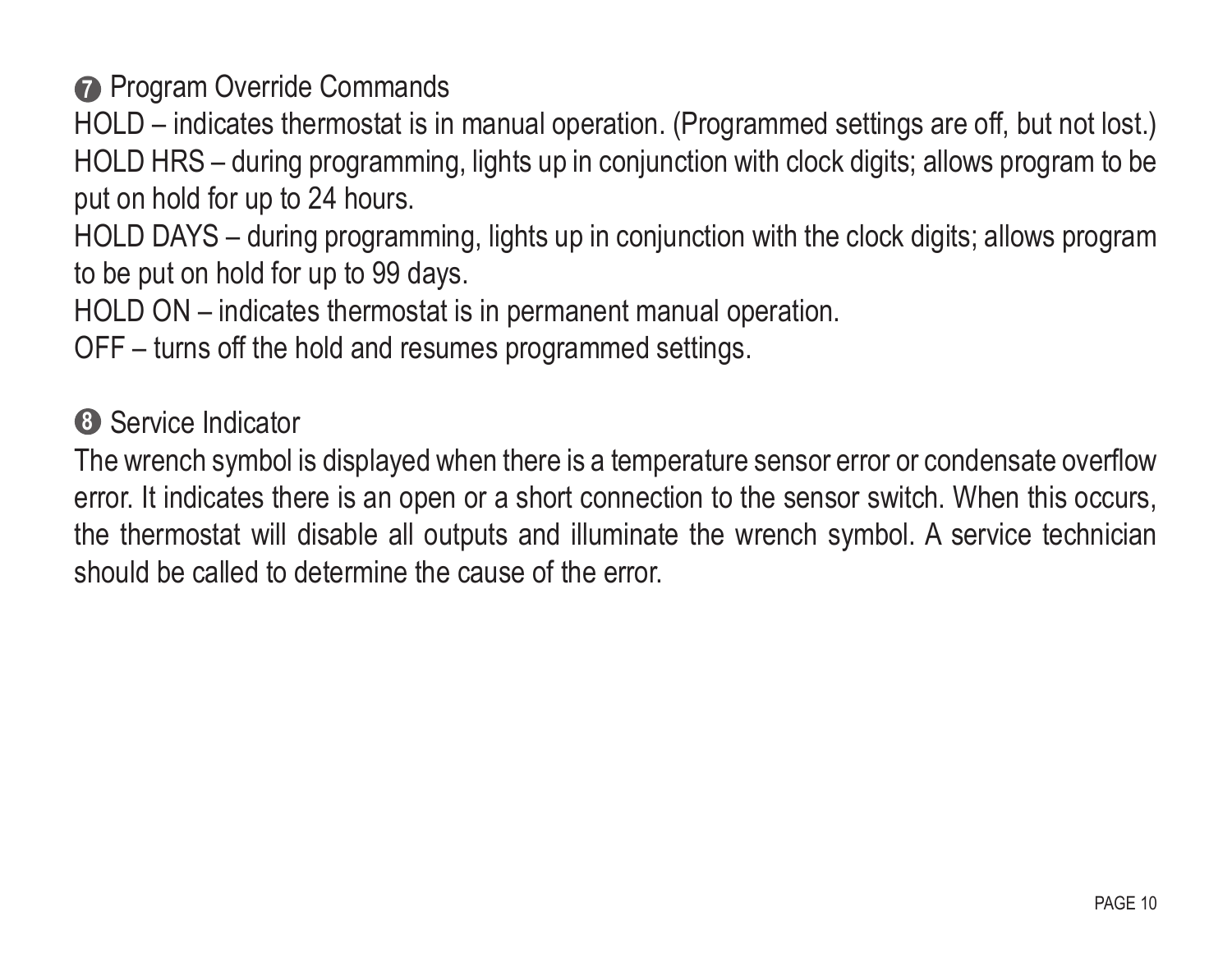**Program Override Commands** 

HOLD – indicates thermostat is in manual operation. (Programmed settings are off, but not lost.) HOLD HRS – during programming, lights up in conjunction with clock digits; allows program to be put on hold for up to 24 hours.

HOLD DAYS – during programming, lights up in conjunction with the clock digits; allows program to be put on hold for up to 99 days.

HOLD ON – indicates thermostat is in permanent manual operation.

OFF – turns off the hold and resumes programmed settings.

**8** Service Indicator

The wrench symbol is displayed when there is a temperature sensor error or condensate overflow error. It indicates there is an open or a short connection to the sensor switch. When this occurs, the thermostat will disable all outputs and illuminate the wrench symbol. A service technician should be called to determine the cause of the error.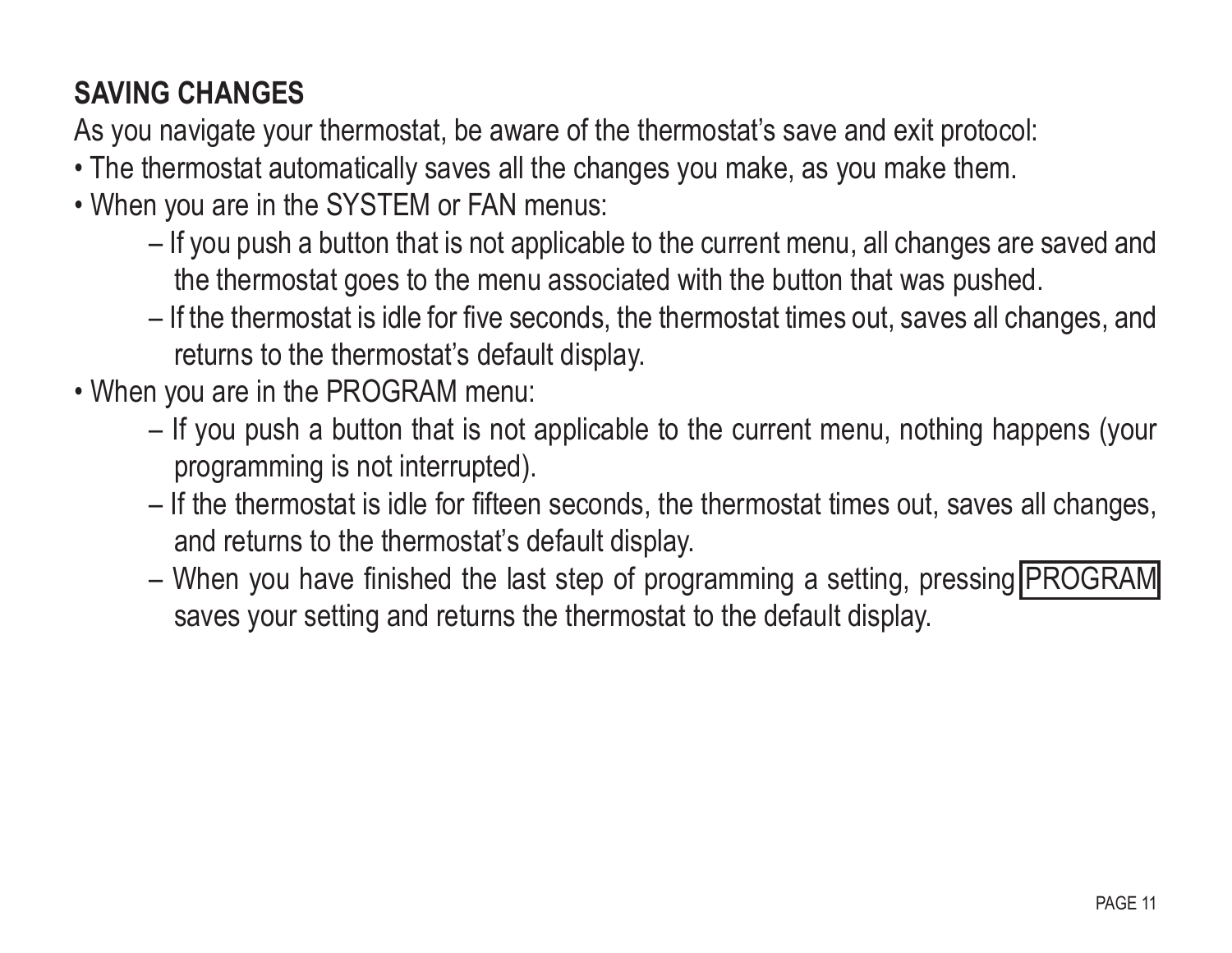### **SAVING CHANGES**

As you navigate your thermostat, be aware of the thermostat's save and exit protocol:

- The thermostat automatically saves all the changes you make, as you make them.
- When you are in the SYSTEM or FAN menus:
	- If you push a button that is not applicable to the current menu, all changes are saved and the thermostat goes to the menu associated with the button that was pushed.
	- If the thermostat is idle for five seconds, the thermostat times out, saves all changes, and returns to the thermostat's default display.
- When you are in the PROGRAM menu:
	- If you push a button that is not applicable to the current menu, nothing happens (your programming is not interrupted).
	- If the thermostat is idle for fifteen seconds, the thermostat times out, saves all changes, and returns to the thermostat's default display.
	- When you have finished the last step of programming a setting, pressing PROGRAM saves your setting and returns the thermostat to the default display.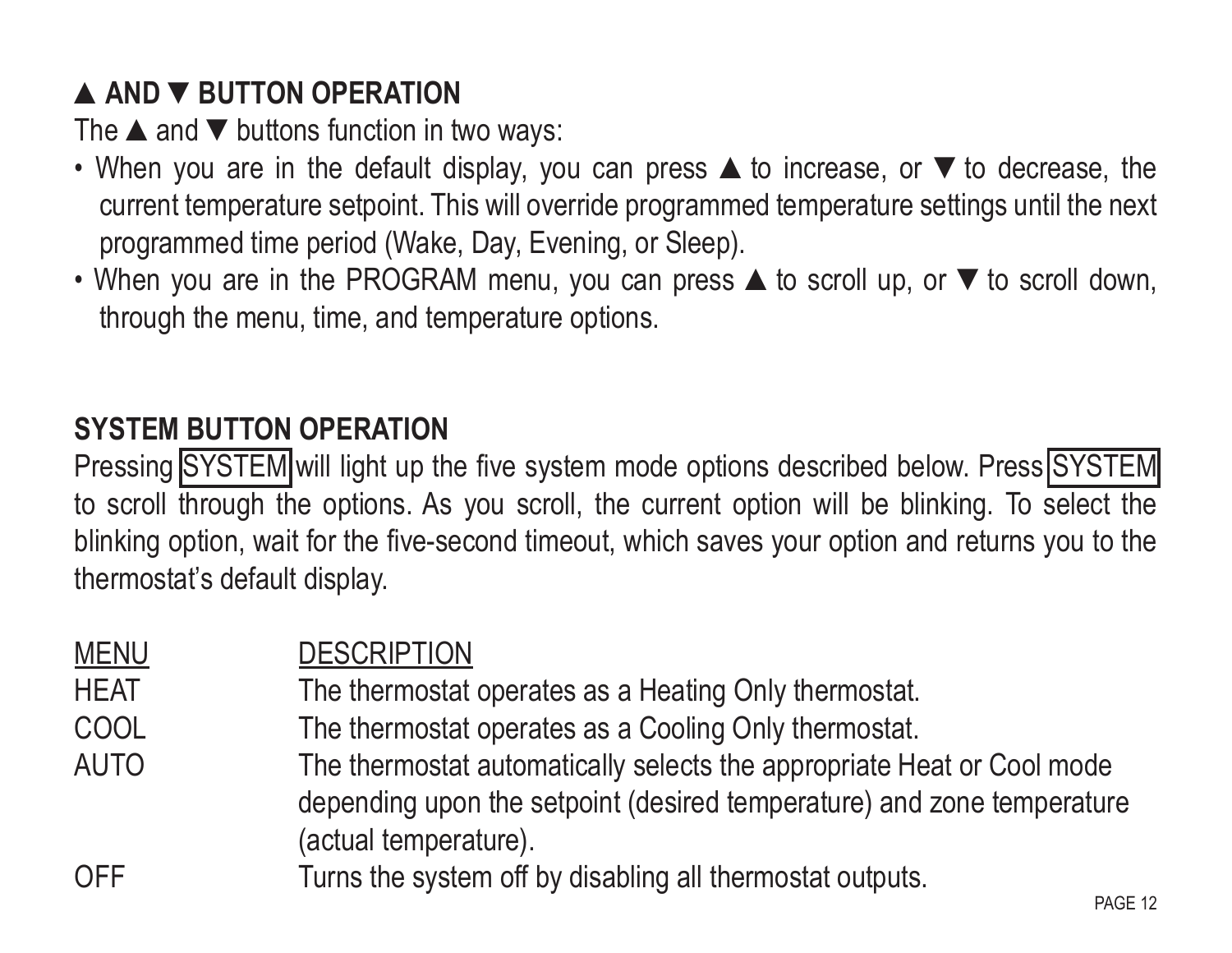## **▲AND ▼BUTTON OPERATION**

The  $\blacktriangle$  and  $\nabla$  buttons function in two ways:

- When you are in the default display, you can press ▲to increase, or ▼to decrease, the current temperature setpoint. This will override programmed temperature settings until the next programmed time period (Wake, Day, Evening, or Sleep).
- When you are in the PROGRAM menu, you can press **▲** to scroll up, or ▼ to scroll down, through the menu, time, and temperature options.

#### **System Button Operation**

Pressing SYSTEM will light up the five system mode options described below. Press SYSTEM to scroll through the options. As you scroll, the current option will be blinking. To select the blinking option, wait for the five-second timeout, which saves your option and returns you to the thermostat's default display.

| <b>MENU</b> | <b>DESCRIPTION</b>                                                                                                                                                        |
|-------------|---------------------------------------------------------------------------------------------------------------------------------------------------------------------------|
| <b>HEAT</b> | The thermostat operates as a Heating Only thermostat.                                                                                                                     |
| COOL        | The thermostat operates as a Cooling Only thermostat.                                                                                                                     |
| <b>AUTO</b> | The thermostat automatically selects the appropriate Heat or Cool mode<br>depending upon the setpoint (desired temperature) and zone temperature<br>(actual temperature). |
| <b>OFF</b>  | Turns the system off by disabling all thermostat outputs.<br>PAGE 12                                                                                                      |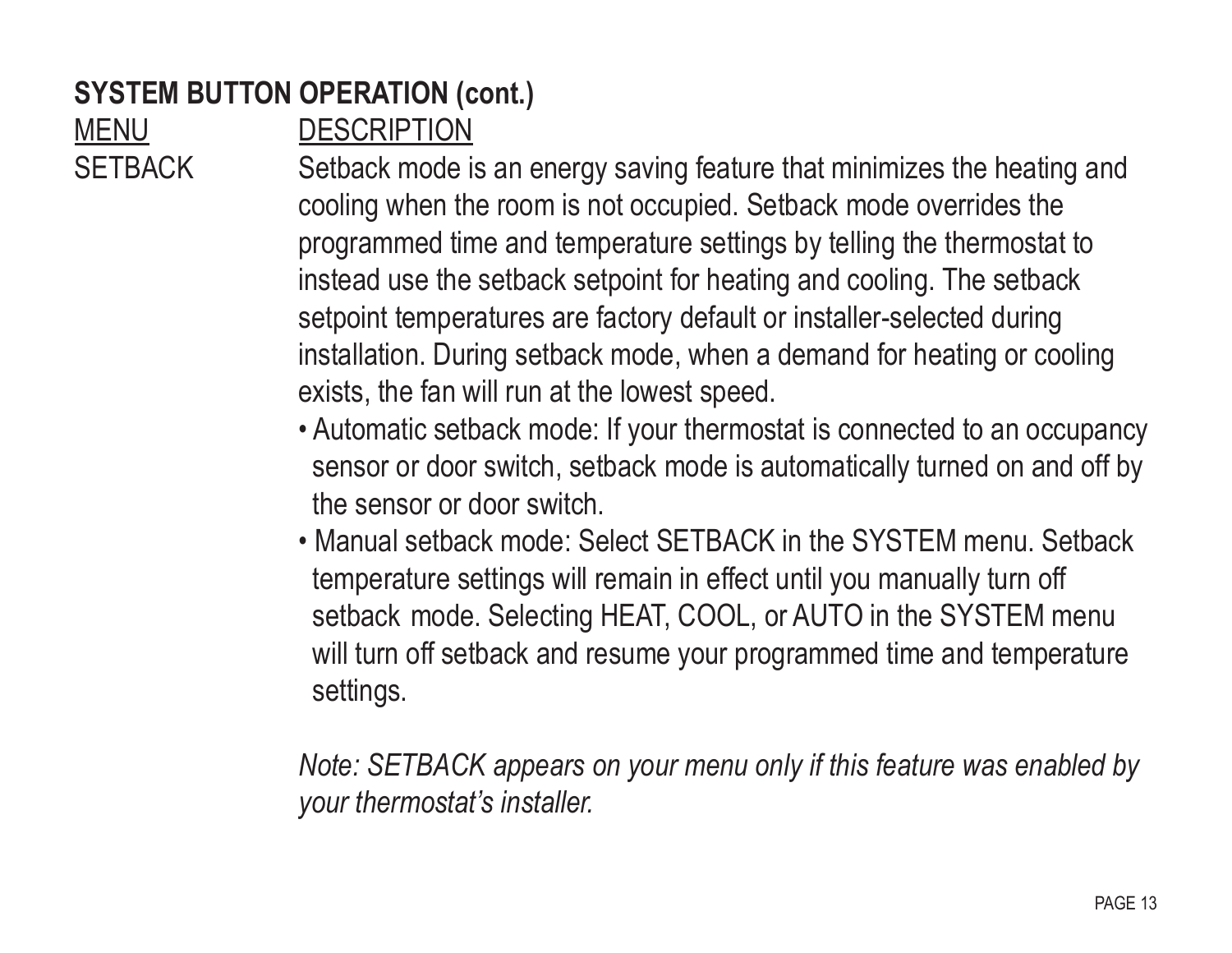#### **SYSTEM BUTTON OPERATION (cont.)**

MENU DESCRIPTION

SETBACK Setback mode is an energy saving feature that minimizes the heating and cooling when the room is not occupied. Setback mode overrides the programmed time and temperature settings by telling the thermostat to instead use the setback setpoint for heating and cooling. The setback setpoint temperatures are factory default or installer-selected during installation. During setback mode, when a demand for heating or cooling exists, the fan will run at the lowest speed.

- Automatic setback mode: If your thermostat is connected to an occupancy sensor or door switch, setback mode is automatically turned on and off by the sensor or door switch.
- Manual setback mode: Select SETBACK in the SYSTEM menu. Setback temperature settings will remain in effect until you manually turn off setback mode. Selecting HEAT, COOL, or AUTO in the SYSTEM menu will turn off setback and resume your programmed time and temperature settings.

 *Note: SETBACK appears on your menu only if this feature was enabled by your thermostat's installer.*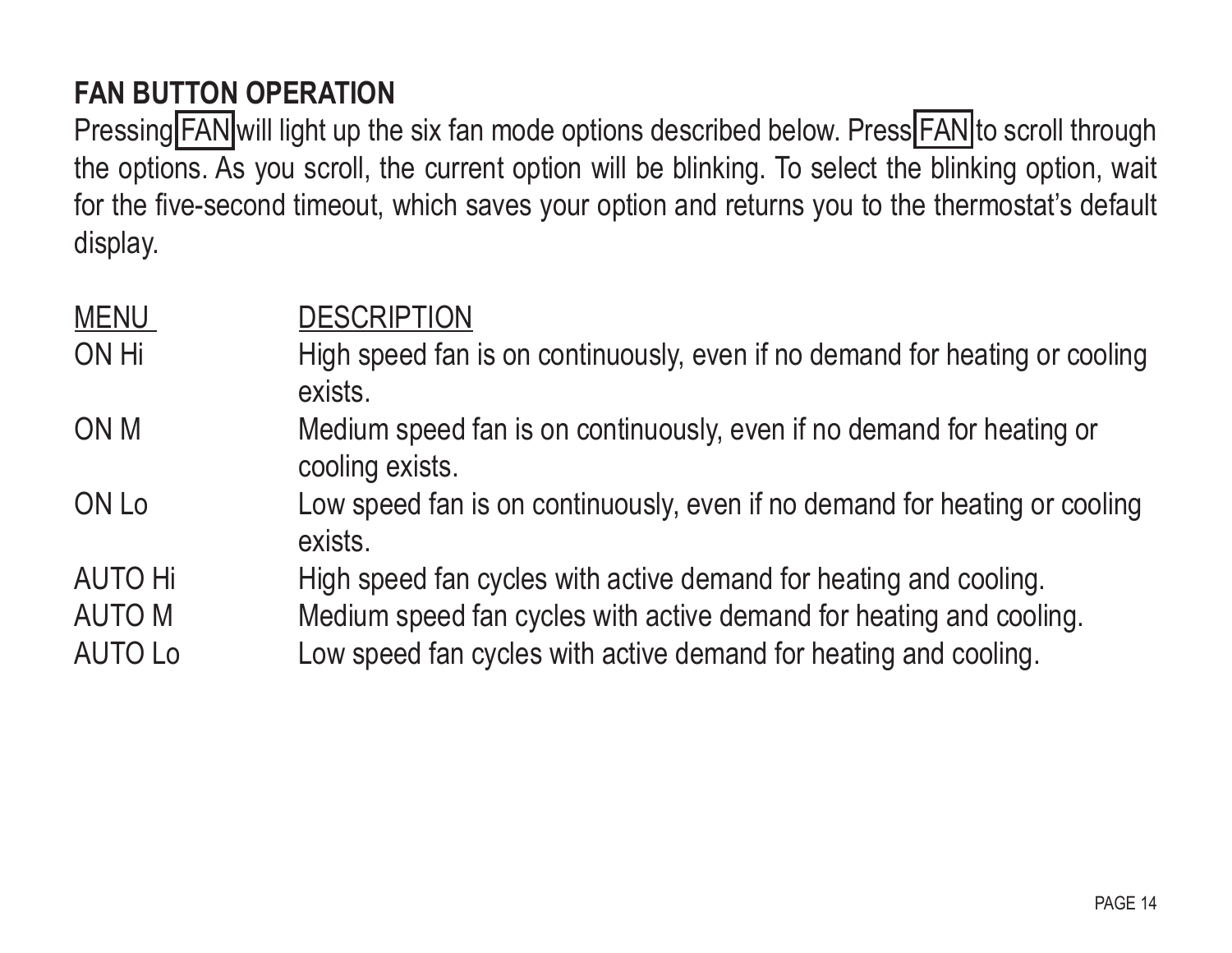#### **Fan Button Operation**

Pressing FAN will light up the six fan mode options described below. Press FAN to scroll through the options. As you scroll, the current option will be blinking. To select the blinking option, wait for the five-second timeout, which saves your option and returns you to the thermostat's default display.

| <b>MENU</b> | <b>DESCRIPTION</b>                                                                       |
|-------------|------------------------------------------------------------------------------------------|
| ON Hi       | High speed fan is on continuously, even if no demand for heating or cooling<br>exists.   |
| ON M        | Medium speed fan is on continuously, even if no demand for heating or<br>cooling exists. |
| ON Lo       | Low speed fan is on continuously, even if no demand for heating or cooling<br>exists.    |
| AUTO Hi     | High speed fan cycles with active demand for heating and cooling.                        |
| AUTO M      | Medium speed fan cycles with active demand for heating and cooling.                      |
| AUTO Lo     | Low speed fan cycles with active demand for heating and cooling.                         |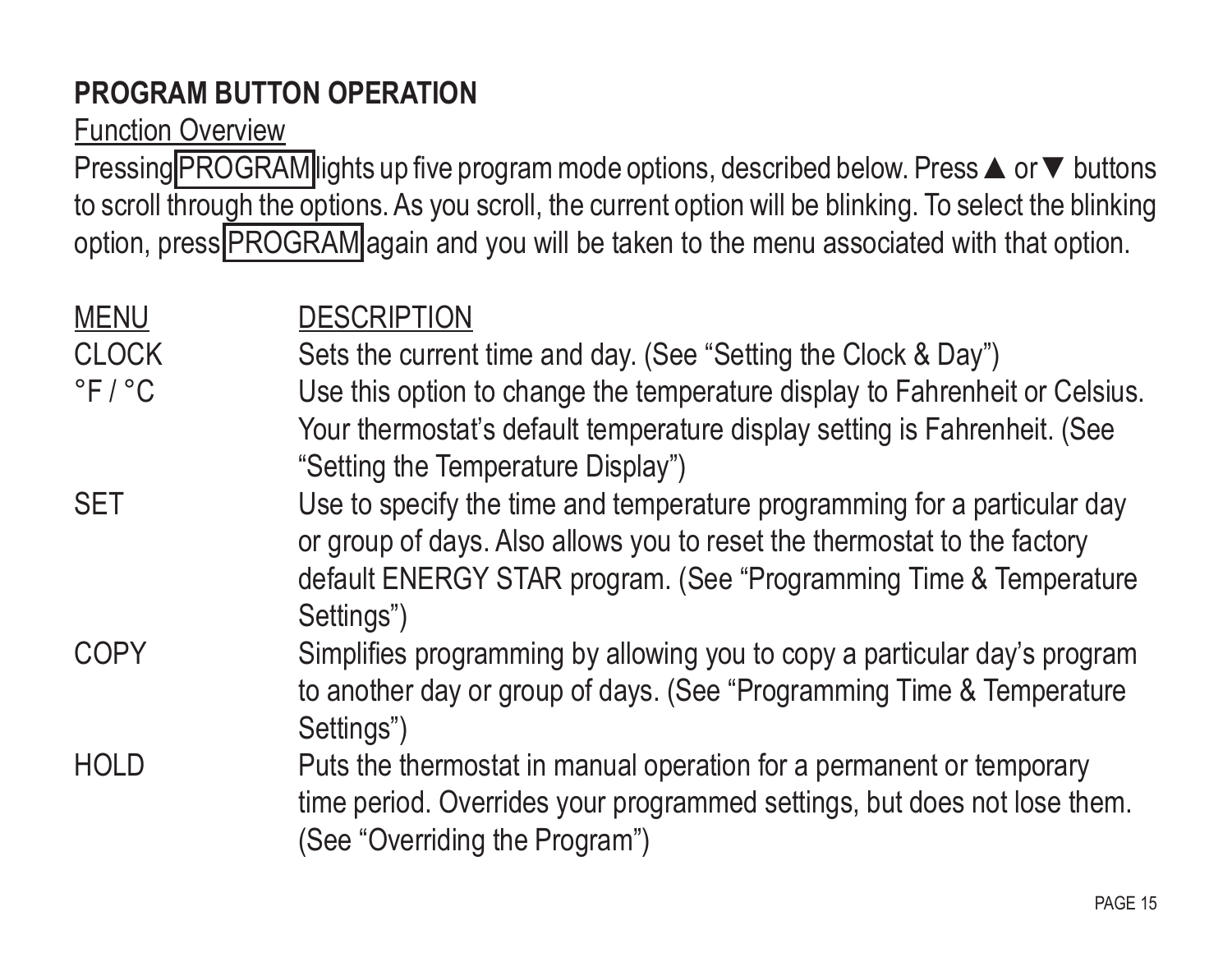## **Program Button Operation**

Function Overview

Pressing PROGRAM lights up five program mode options, described below. Press ▲ or ▼ buttons to scroll through the options. As you scroll, the current option will be blinking. To select the blinking option, press PROGRAM again and you will be taken to the menu associated with that option.

| <b>MENU</b><br><b>CLOCK</b><br>$\degree$ F / $\degree$ C | <b>DESCRIPTION</b><br>Sets the current time and day. (See "Setting the Clock & Day")<br>Use this option to change the temperature display to Fahrenheit or Celsius.<br>Your thermostat's default temperature display setting is Fahrenheit. (See<br>"Setting the Temperature Display") |
|----------------------------------------------------------|----------------------------------------------------------------------------------------------------------------------------------------------------------------------------------------------------------------------------------------------------------------------------------------|
| <b>SET</b>                                               | Use to specify the time and temperature programming for a particular day<br>or group of days. Also allows you to reset the thermostat to the factory<br>default ENERGY STAR program. (See "Programming Time & Temperature<br>Settings")                                                |
| <b>COPY</b>                                              | Simplifies programming by allowing you to copy a particular day's program<br>to another day or group of days. (See "Programming Time & Temperature<br>Settings")                                                                                                                       |
| <b>HOLD</b>                                              | Puts the thermostat in manual operation for a permanent or temporary<br>time period. Overrides your programmed settings, but does not lose them.<br>(See "Overriding the Program")                                                                                                     |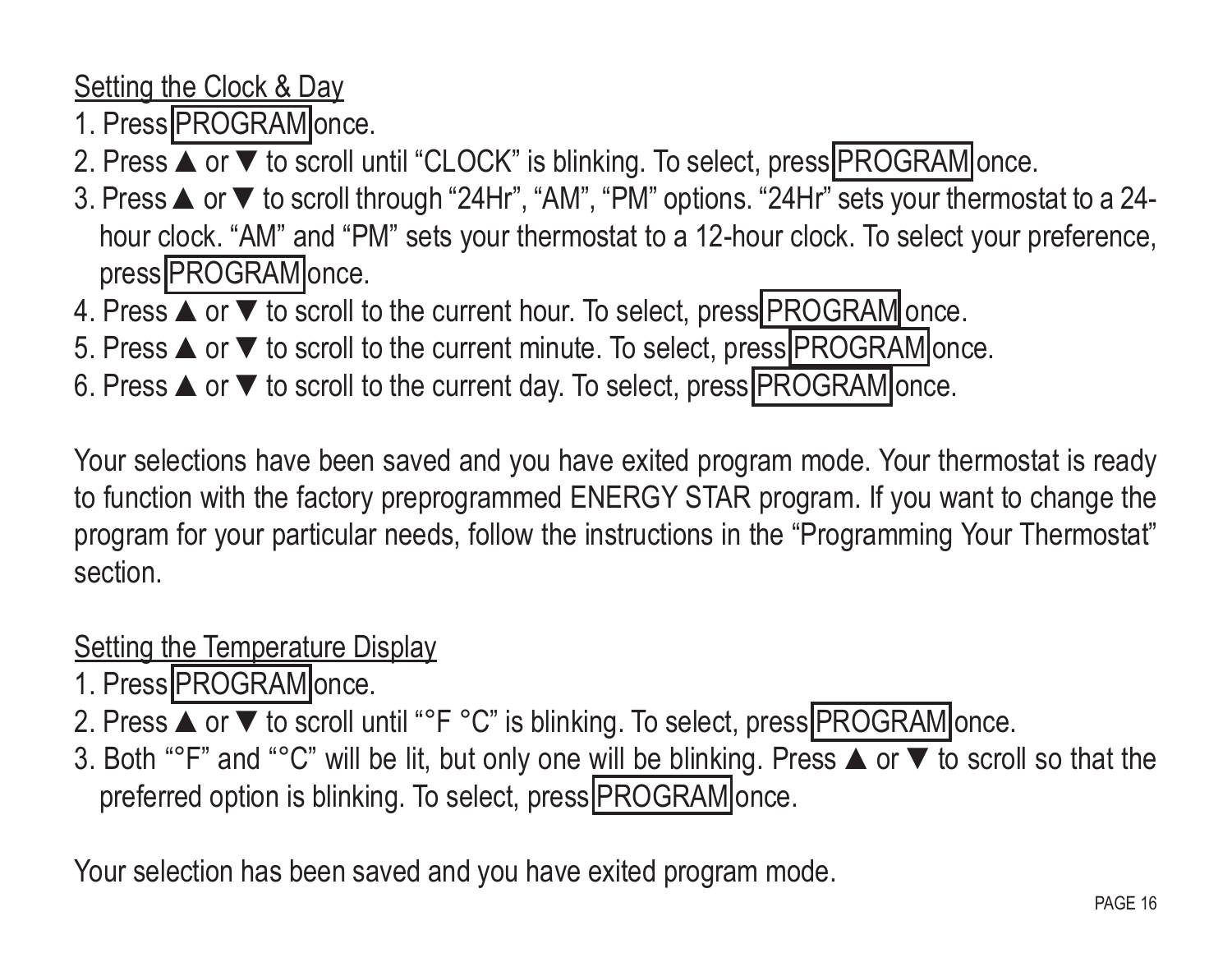Setting the Clock & Day

- 1. Press PROGRAM once.
- 2. Press **▲** or ▼ to scroll until "CLOCK" is blinking. To select, press PROGRAM once.
- 3. Press ▲or ▼to scroll through "24Hr", "AM", "PM" options. "24Hr" sets your thermostat to a 24 hour clock. "AM" and "PM" sets your thermostat to a 12-hour clock. To select your preference, press PROGRAM once.
- 4. Press ▲ or ▼ to scroll to the current hour. To select, press PROGRAM once.
- 5. Press **▲** or ▼ to scroll to the current minute. To select, press PROGRAM once.
- 6. Press  $\blacktriangle$  or  $\blacktriangledown$  to scroll to the current day. To select, press  $PROGRAM$  once.

Your selections have been saved and you have exited program mode. Your thermostat is ready to function with the factory preprogrammed ENERGY STAR program. If you want to change the program for your particular needs, follow the instructions in the "Programming Your Thermostat" section.

Setting the Temperature Display

- 1. Press PROGRAM once.
- 2. Press ▲ or ▼ to scroll until "°F °C" is blinking. To select, press PROGRAM once.
- 3. Both "°F" and "°C" will be lit, but only one will be blinking. Press ▲or ▼to scroll so that the preferred option is blinking. To select, press PROGRAM once.

Your selection has been saved and you have exited program mode.<br>PAGE 16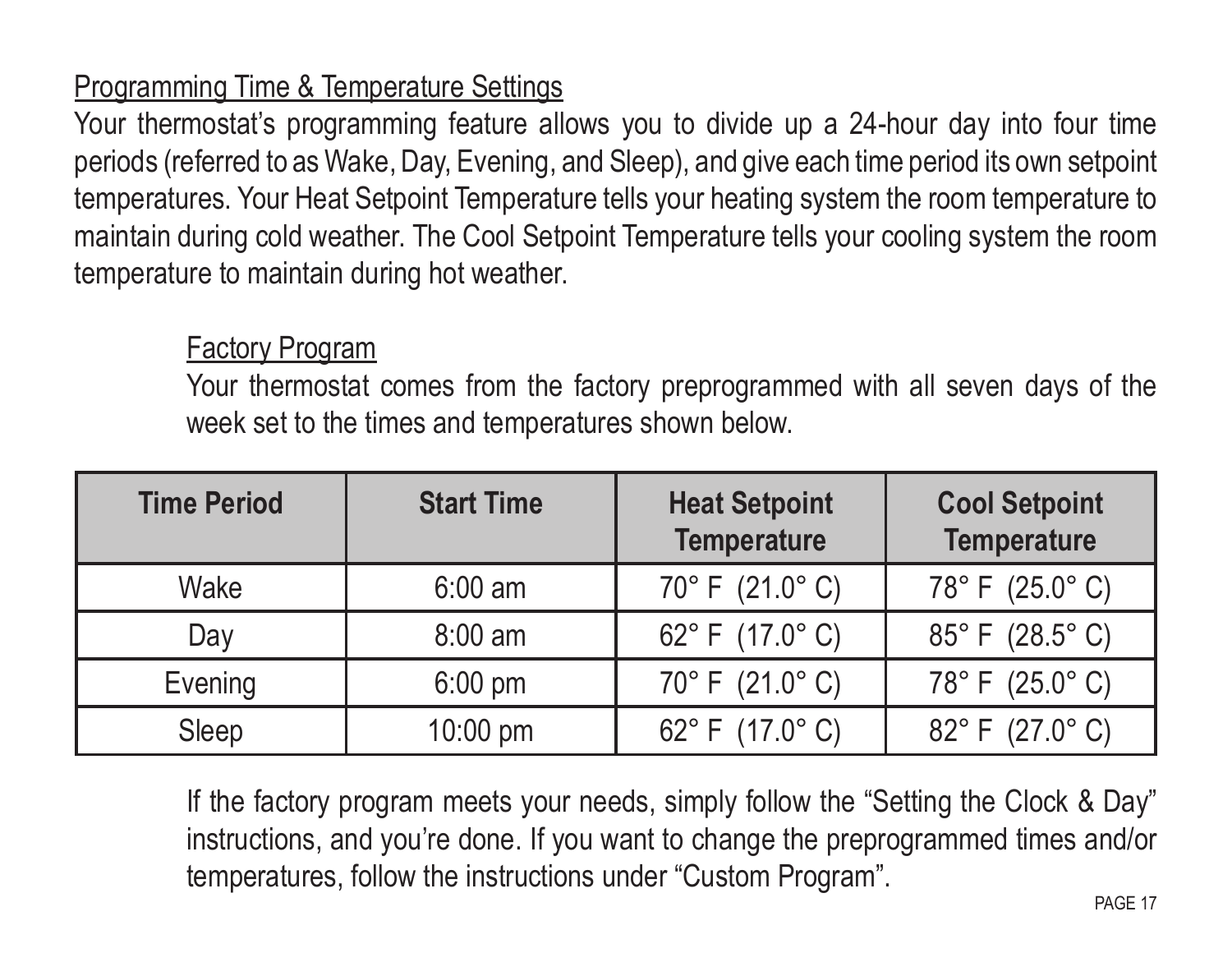#### Programming Time & Temperature Settings

Your thermostat's programming feature allows you to divide up a 24-hour day into four time periods (referred to as Wake, Day, Evening, and Sleep), and give each time period its own setpoint temperatures. Your Heat Setpoint Temperature tells your heating system the room temperature to maintain during cold weather. The Cool Setpoint Temperature tells your cooling system the room temperature to maintain during hot weather.

#### Factory Program

Your thermostat comes from the factory preprogrammed with all seven days of the week set to the times and temperatures shown below.

| <b>Time Period</b> | <b>Start Time</b> | <b>Heat Setpoint</b><br><b>Temperature</b> | <b>Cool Setpoint</b><br><b>Temperature</b> |
|--------------------|-------------------|--------------------------------------------|--------------------------------------------|
| Wake               | $6:00$ am         | 70° F (21.0° C)                            | 78°F (25.0°C)                              |
| Day                | $8:00$ am         | 62°F (17.0°C)                              | 85°F (28.5°C)                              |
| Evening            | $6:00$ pm         | 70° F (21.0° C)                            | 78°F (25.0°C)                              |
| Sleep              | 10:00 pm          | 62°F (17.0°C)                              | 82°F (27.0°C)                              |

If the factory program meets your needs, simply follow the "Setting the Clock & Day" instructions, and you're done. If you want to change the preprogrammed times and/or temperatures, follow the instructions under "Custom Program".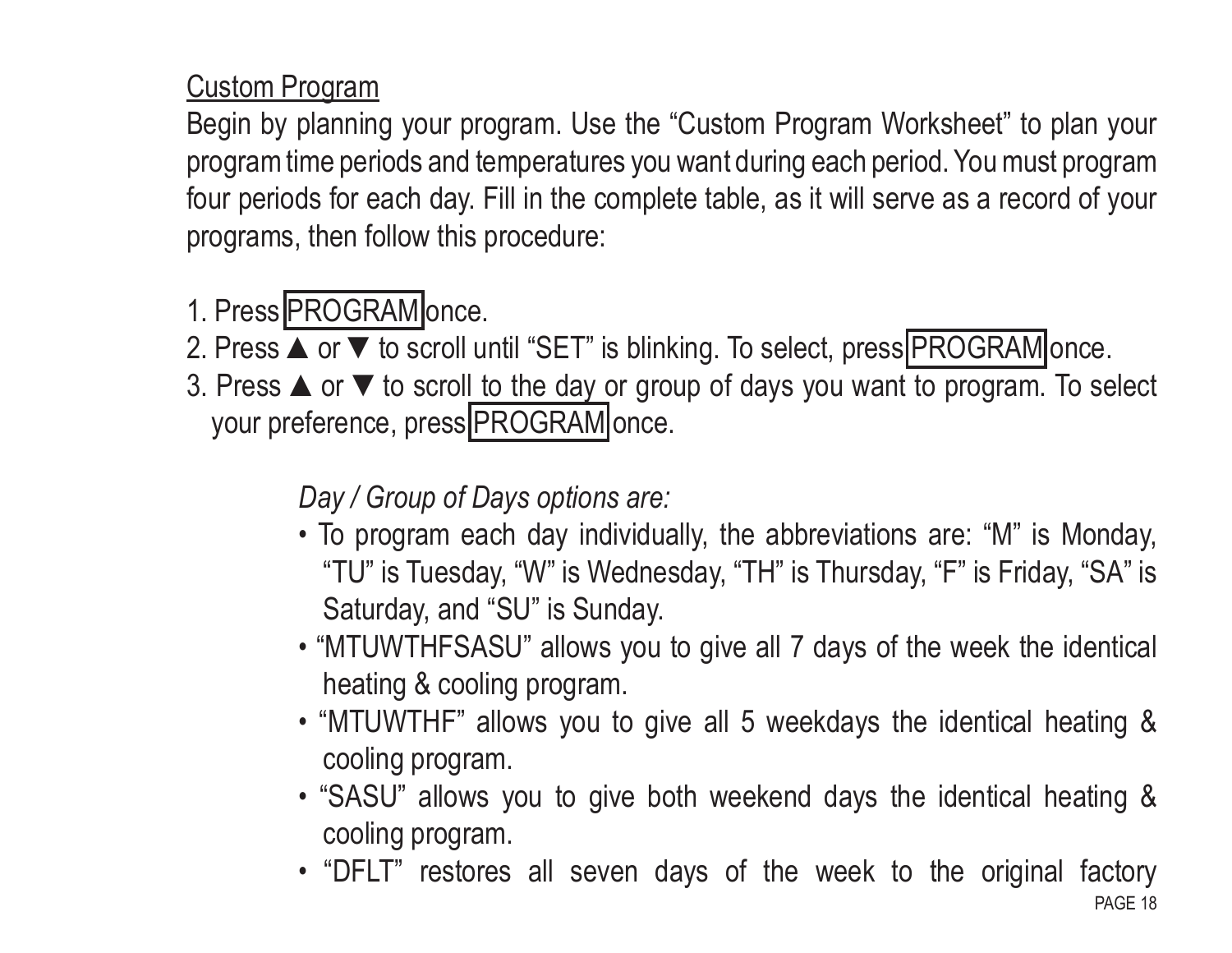Custom Program

Begin by planning your program. Use the "Custom Program Worksheet" to plan your program time periods and temperatures you want during each period. You must program four periods for each day. Fill in the complete table, as it will serve as a record of your programs, then follow this procedure:

## 1. Press PROGRAM once.

2. Press ▲ or ▼ to scroll until "SET" is blinking. To select, press PROGRAM once.

3. Press ▲or ▼to scroll to the day or group of days you want to program. To select your preference, press PROGRAM once.

*Day / Group of Days options are:* 

- To program each day individually, the abbreviations are: "M" is Monday, "TU" is Tuesday, "W" is Wednesday, "TH" is Thursday, "F" is Friday, "SA" is Saturday, and "SU" is Sunday.
- "MTUWTHFSASU" allows you to give all 7 days of the week the identical heating & cooling program.
- "MTUWTHF" allows you to give all 5 weekdays the identical heating & cooling program.
- "SASU" allows you to give both weekend days the identical heating & cooling program.
- "DFLT" restores all seven days of the week to the original factory<br>PAGE 18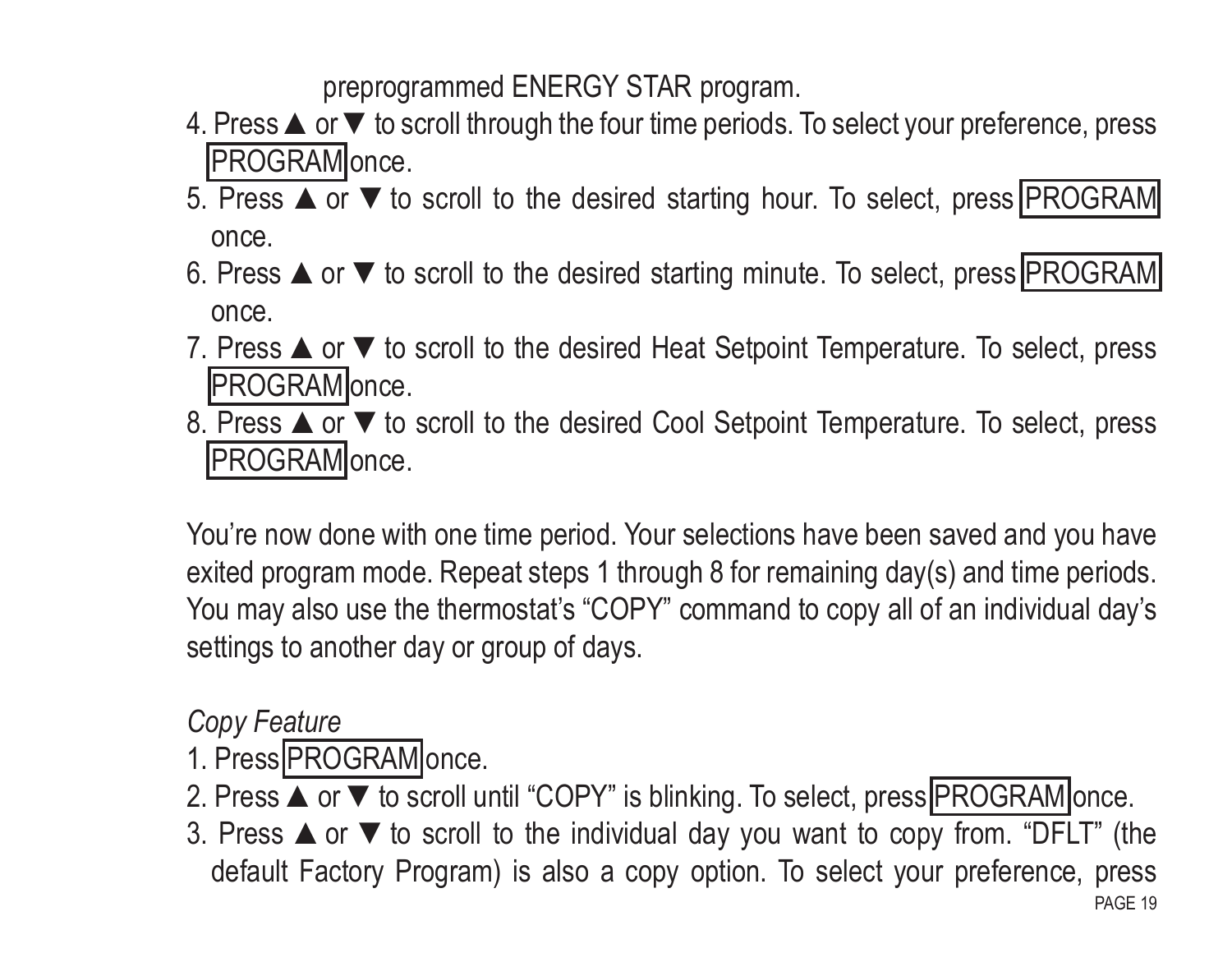preprogrammed ENERGY STAR program.

- 4. Press **▲** or ▼ to scroll through the four time periods. To select your preference, press PROGRAM once.
- 5. Press **▲** or ▼ to scroll to the desired starting hour. To select, press PROGRAM once.
- 6. Press ▲ or ▼ to scroll to the desired starting minute. To select, press PROGRAM once.
- 7. Press ▲or ▼to scroll to the desired Heat Setpoint Temperature. To select, press PROGRAM once.
- 8. Press **▲** or ▼ to scroll to the desired Cool Setpoint Temperature. To select, press PROGRAM once.

You're now done with one time period. Your selections have been saved and you have exited program mode. Repeat steps 1 through 8 for remaining day(s) and time periods. You may also use the thermostat's "COPY" command to copy all of an individual day's settings to another day or group of days.

#### *Copy Feature*

- 1. Press PROGRAM once.
- 2. Press ▲ or ▼ to scroll until "COPY" is blinking. To select, press PROGRAM once.
- 3. Press  $\triangle$  or  $\nabla$  to scroll to the individual day you want to copy from. "DFLT" (the default Factory Program) is also a copy option. To select your preference, press<br>PAGE 19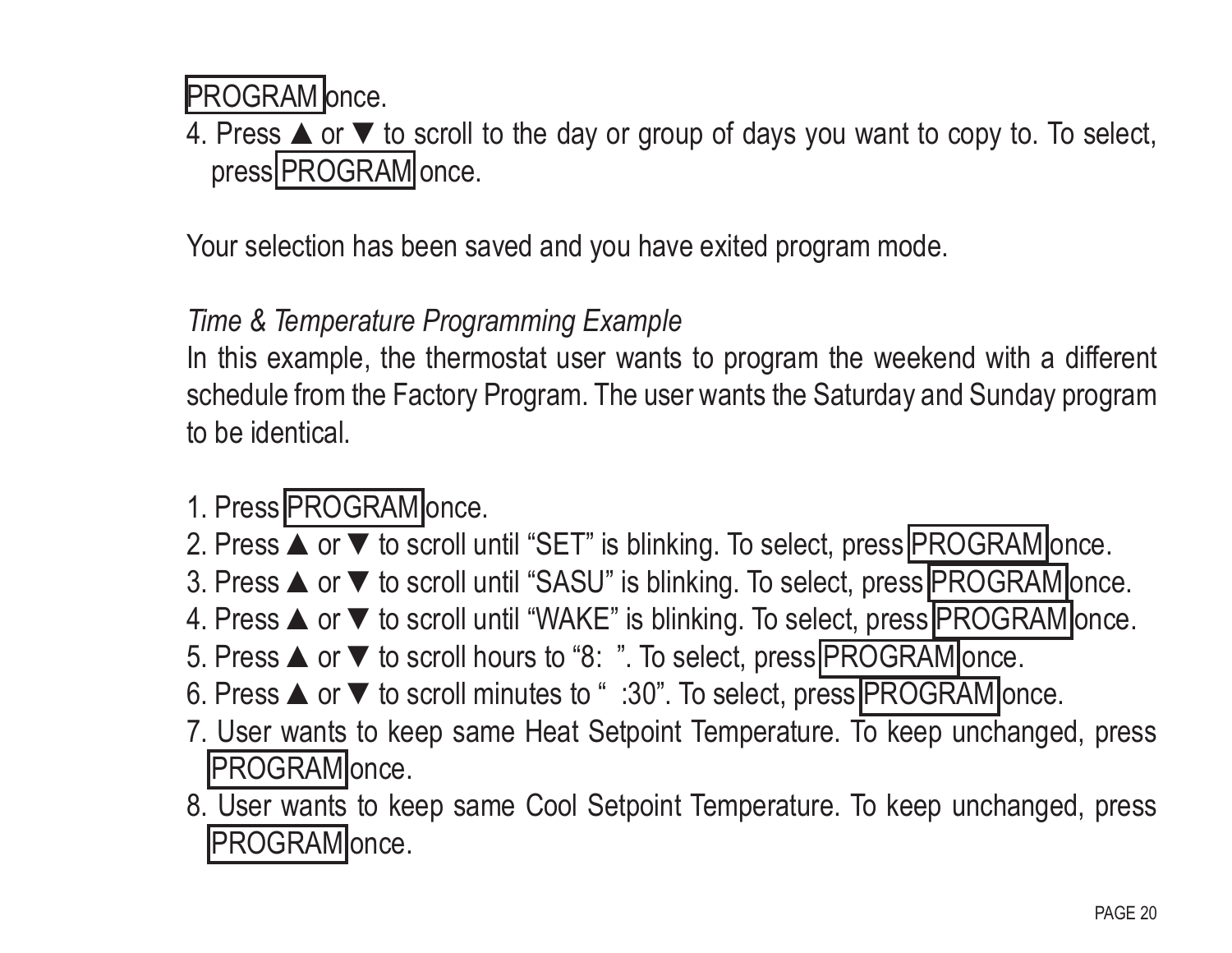**PROGRAM** lonce.

4. Press ▲or ▼to scroll to the day or group of days you want to copy to. To select, press PROGRAM once.

Your selection has been saved and you have exited program mode.

#### *Time & Temperature Programming Example*

In this example, the thermostat user wants to program the weekend with a different schedule from the Factory Program. The user wants the Saturday and Sunday program to be identical.

#### 1. Press PROGRAM once.

- 2. Press ▲ or ▼ to scroll until "SET" is blinking. To select, press PROGRAM once.
- 3. Press ▲ or ▼ to scroll until "SASU" is blinking. To select, press PROGRAM once.
- 4. Press ▲ or ▼ to scroll until "WAKE" is blinking. To select, press PROGRAM once.
- 5. Press **▲** or ▼ to scroll hours to "8: ". To select, press **PROGRAM** once.
- 6. Press  $\blacktriangle$  or  $\blacktriangledown$  to scroll minutes to " :30". To select, press PROGRAM once.
- 7. User wants to keep same Heat Setpoint Temperature. To keep unchanged, press **PROGRAM** once.
- 8. User wants to keep same Cool Setpoint Temperature. To keep unchanged, press PROGRAM once.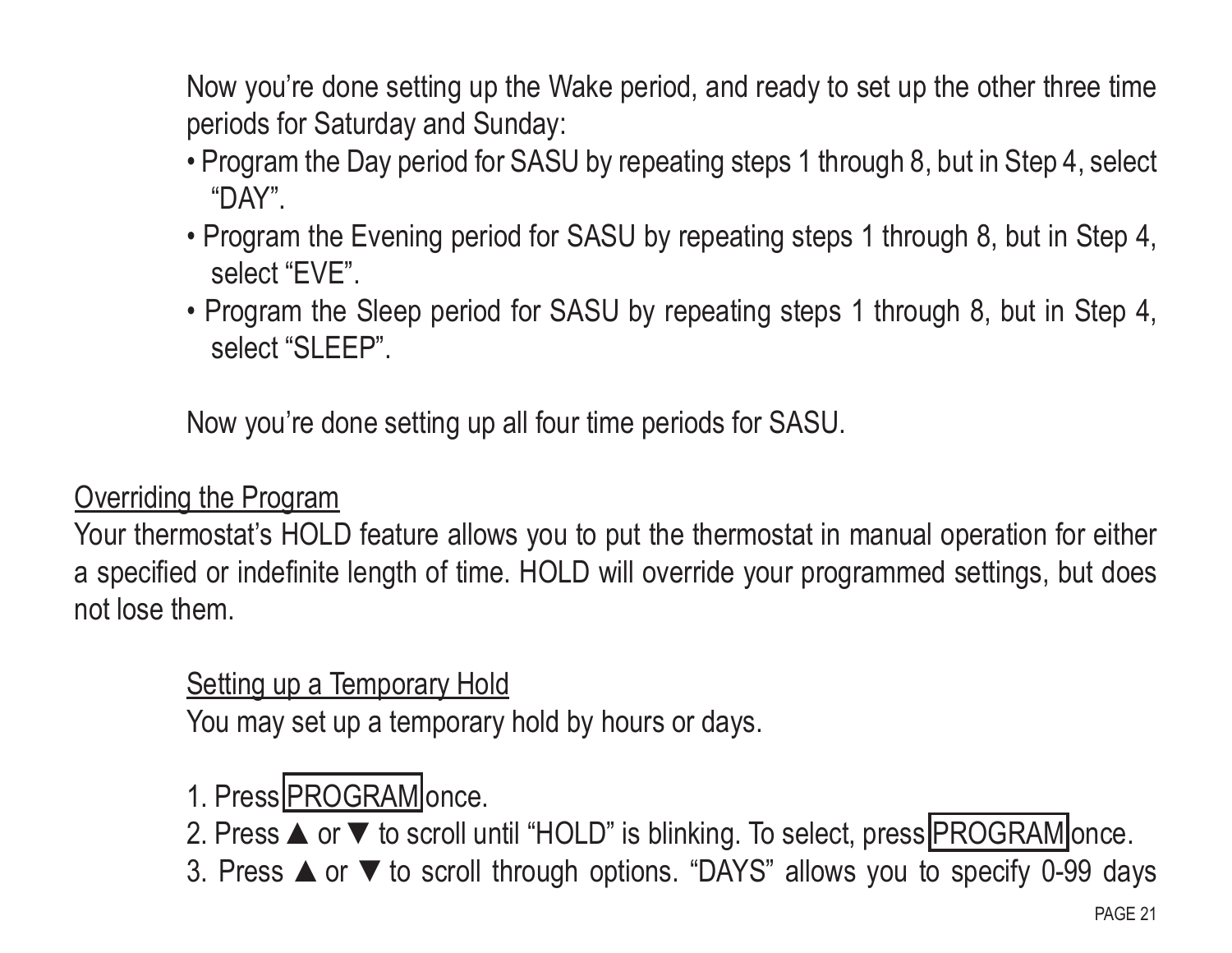Now you're done setting up the Wake period, and ready to set up the other three time periods for Saturday and Sunday:

- Program the Day period for SASU by repeating steps 1 through 8, but in Step 4, select "DAY".
- Program the Evening period for SASU by repeating steps 1 through 8, but in Step 4, select "EVE".
- Program the Sleep period for SASU by repeating steps 1 through 8, but in Step 4, select "SLEEP".

Now you're done setting up all four time periods for SASU.

#### Overriding the Program

Your thermostat's HOLD feature allows you to put the thermostat in manual operation for either a specified or indefinite length of time. HOLD will override your programmed settings, but does not lose them.

#### Setting up a Temporary Hold

You may set up a temporary hold by hours or days.

# 1. Press PROGRAM once.

- 2. Press ▲ or ▼ to scroll until "HOLD" is blinking. To select, press PROGRAM once.
- 3. Press ▲or ▼to scroll through options. "DAYS" allows you to specify 0-99 days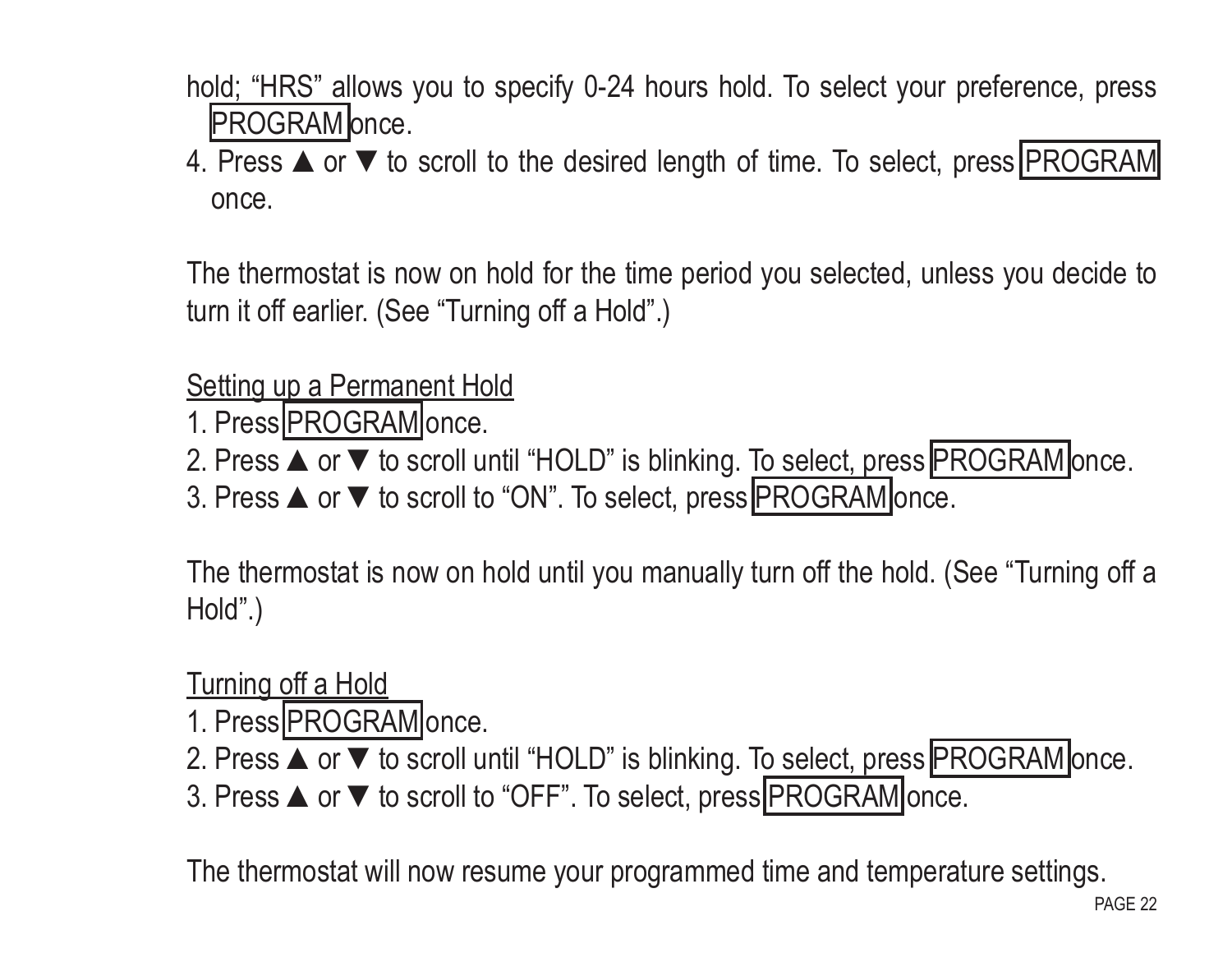- hold; "HRS" allows you to specify 0-24 hours hold. To select your preference, press PROGRAM once.
- 4. Press ▲ or ▼ to scroll to the desired length of time. To select, press PROGRAM once.

The thermostat is now on hold for the time period you selected, unless you decide to turn it off earlier. (See "Turning off a Hold".)

#### Setting up a Permanent Hold

- 1. Press PROGRAM once.
- 2. Press ▲ or ▼ to scroll until "HOLD" is blinking. To select, press PROGRAM once.
- 3. Press **▲** or ▼ to scroll to "ON". To select, press PROGRAM once.

The thermostat is now on hold until you manually turn off the hold. (See "Turning off a Hold".)

Turning off a Hold

- 1. Press PROGRAM once.
- 2. Press ▲ or ▼ to scroll until "HOLD" is blinking. To select, press PROGRAM once.
- 3. Press **▲** or ▼ to scroll to "OFF". To select, press PROGRAM once.

The thermostat will now resume your programmed time and temperature settings.<br>PAGE 22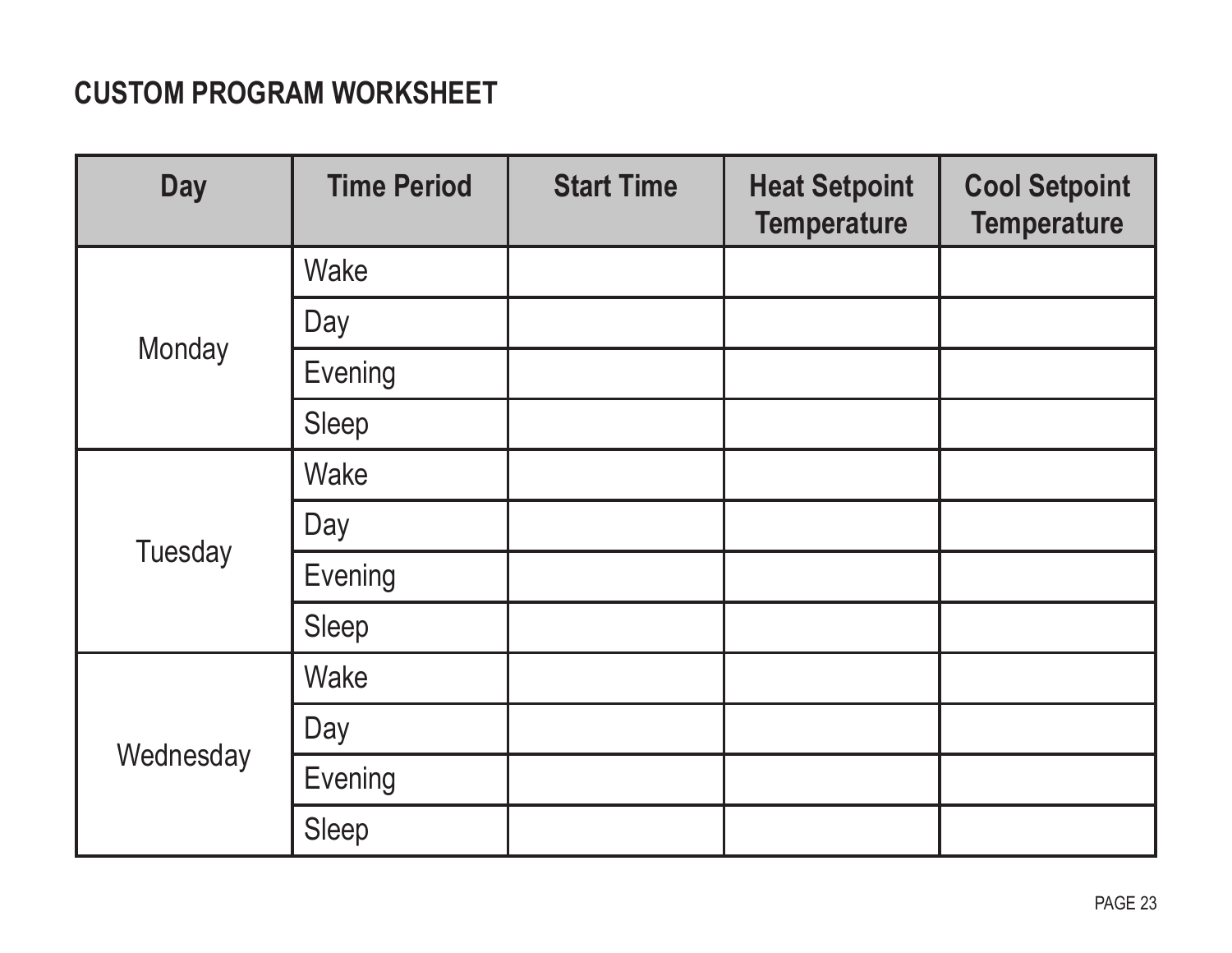#### **Custom Program Worksheet**

| <b>Day</b> | <b>Time Period</b> | <b>Start Time</b> | <b>Heat Setpoint</b><br><b>Temperature</b> | <b>Cool Setpoint</b><br><b>Temperature</b> |
|------------|--------------------|-------------------|--------------------------------------------|--------------------------------------------|
| Monday     | Wake               |                   |                                            |                                            |
|            | Day                |                   |                                            |                                            |
|            | Evening            |                   |                                            |                                            |
|            | Sleep              |                   |                                            |                                            |
| Tuesday    | Wake               |                   |                                            |                                            |
|            | Day                |                   |                                            |                                            |
|            | Evening            |                   |                                            |                                            |
|            | Sleep              |                   |                                            |                                            |
| Wednesday  | Wake               |                   |                                            |                                            |
|            | Day                |                   |                                            |                                            |
|            | Evening            |                   |                                            |                                            |
|            | Sleep              |                   |                                            |                                            |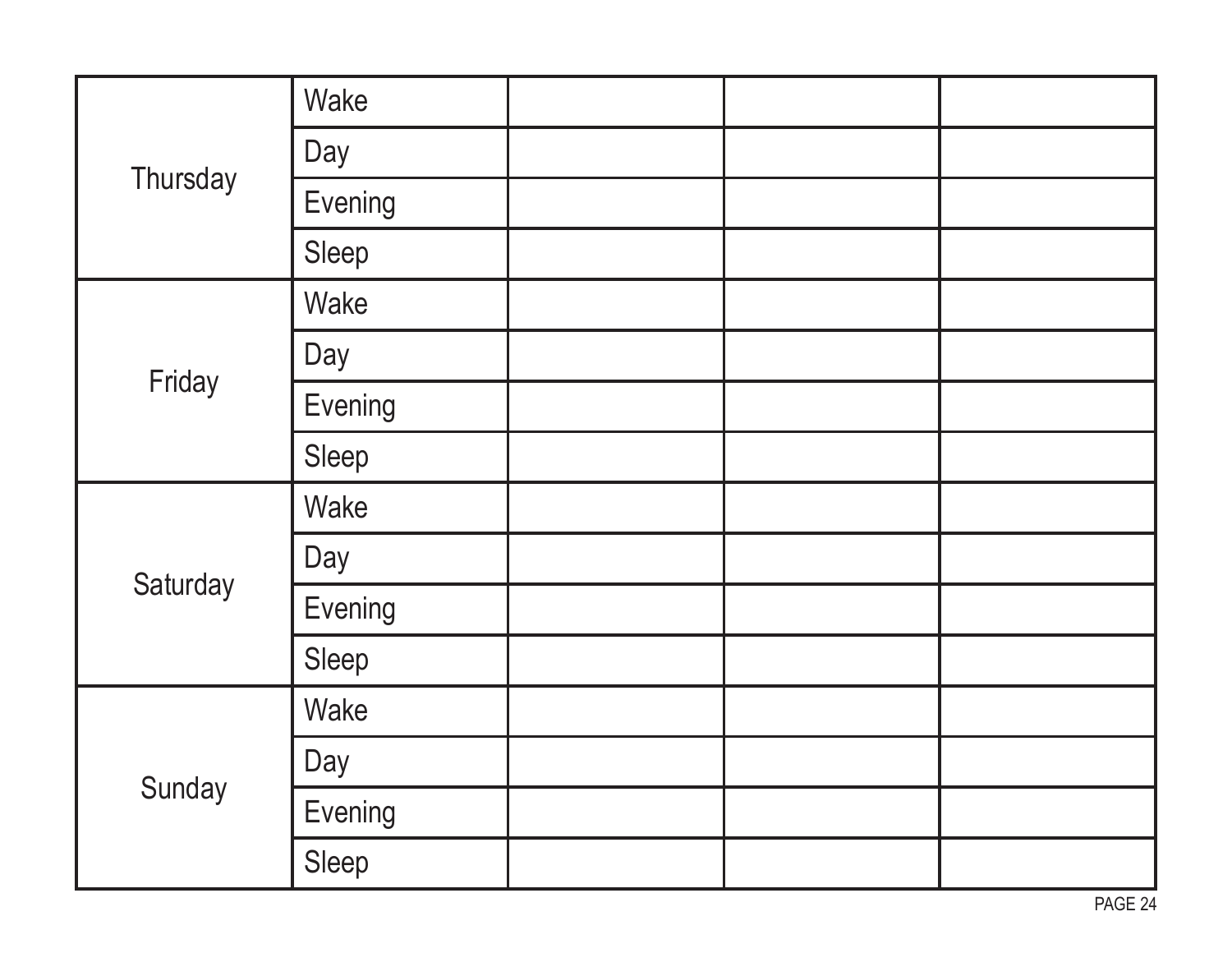| Thursday | Wake    |  |  |
|----------|---------|--|--|
|          | Day     |  |  |
|          | Evening |  |  |
|          | Sleep   |  |  |
| Friday   | Wake    |  |  |
|          | Day     |  |  |
|          | Evening |  |  |
|          | Sleep   |  |  |
| Saturday | Wake    |  |  |
|          | Day     |  |  |
|          | Evening |  |  |
|          | Sleep   |  |  |
| Sunday   | Wake    |  |  |
|          | Day     |  |  |
|          | Evening |  |  |
|          | Sleep   |  |  |